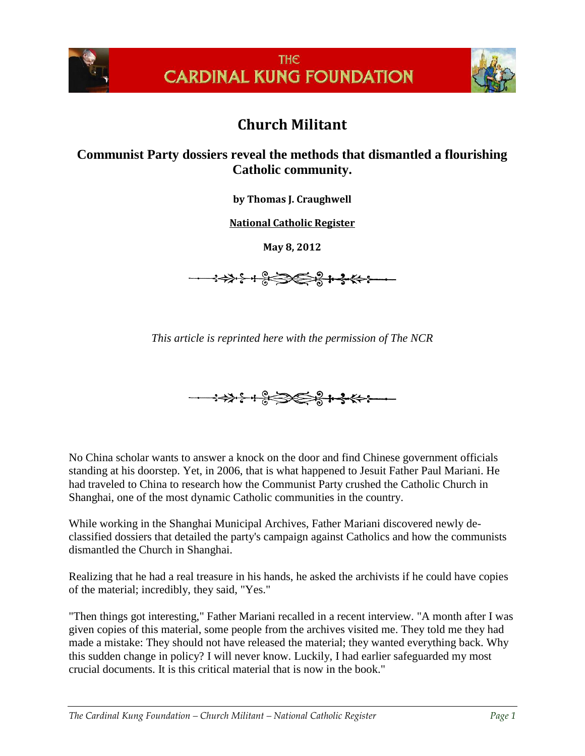



## **Church Militant**

## **Communist Party dossiers reveal the methods that dismantled a flourishing Catholic community.**

**by Thomas J. Craughwell**

**[National Catholic Register](http://www.ncregister.com/daily-news/how-the-church-was-destroyed-in-shanghai/)**

**May 8, 2012**

**→→→→←←←←←←←←** 

*This article is reprinted here with the permission of The NCR*



No China scholar wants to answer a knock on the door and find Chinese government officials standing at his doorstep. Yet, in 2006, that is what happened to Jesuit Father Paul Mariani. He had traveled to China to research how the Communist Party crushed the Catholic Church in Shanghai, one of the most dynamic Catholic communities in the country.

While working in the Shanghai Municipal Archives, Father Mariani discovered newly declassified dossiers that detailed the party's campaign against Catholics and how the communists dismantled the Church in Shanghai.

Realizing that he had a real treasure in his hands, he asked the archivists if he could have copies of the material; incredibly, they said, "Yes."

"Then things got interesting," Father Mariani recalled in a recent interview. "A month after I was given copies of this material, some people from the archives visited me. They told me they had made a mistake: They should not have released the material; they wanted everything back. Why this sudden change in policy? I will never know. Luckily, I had earlier safeguarded my most crucial documents. It is this critical material that is now in the book."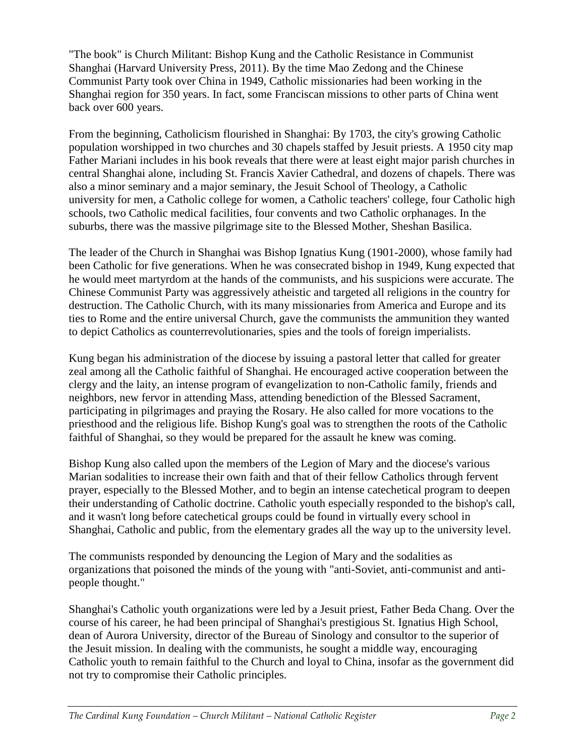"The book" is Church Militant: Bishop Kung and the Catholic Resistance in Communist Shanghai (Harvard University Press, 2011). By the time Mao Zedong and the Chinese Communist Party took over China in 1949, Catholic missionaries had been working in the Shanghai region for 350 years. In fact, some Franciscan missions to other parts of China went back over 600 years.

From the beginning, Catholicism flourished in Shanghai: By 1703, the city's growing Catholic population worshipped in two churches and 30 chapels staffed by Jesuit priests. A 1950 city map Father Mariani includes in his book reveals that there were at least eight major parish churches in central Shanghai alone, including St. Francis Xavier Cathedral, and dozens of chapels. There was also a minor seminary and a major seminary, the Jesuit School of Theology, a Catholic university for men, a Catholic college for women, a Catholic teachers' college, four Catholic high schools, two Catholic medical facilities, four convents and two Catholic orphanages. In the suburbs, there was the massive pilgrimage site to the Blessed Mother, Sheshan Basilica.

The leader of the Church in Shanghai was Bishop Ignatius Kung (1901-2000), whose family had been Catholic for five generations. When he was consecrated bishop in 1949, Kung expected that he would meet martyrdom at the hands of the communists, and his suspicions were accurate. The Chinese Communist Party was aggressively atheistic and targeted all religions in the country for destruction. The Catholic Church, with its many missionaries from America and Europe and its ties to Rome and the entire universal Church, gave the communists the ammunition they wanted to depict Catholics as counterrevolutionaries, spies and the tools of foreign imperialists.

Kung began his administration of the diocese by issuing a pastoral letter that called for greater zeal among all the Catholic faithful of Shanghai. He encouraged active cooperation between the clergy and the laity, an intense program of evangelization to non-Catholic family, friends and neighbors, new fervor in attending Mass, attending benediction of the Blessed Sacrament, participating in pilgrimages and praying the Rosary. He also called for more vocations to the priesthood and the religious life. Bishop Kung's goal was to strengthen the roots of the Catholic faithful of Shanghai, so they would be prepared for the assault he knew was coming.

Bishop Kung also called upon the members of the Legion of Mary and the diocese's various Marian sodalities to increase their own faith and that of their fellow Catholics through fervent prayer, especially to the Blessed Mother, and to begin an intense catechetical program to deepen their understanding of Catholic doctrine. Catholic youth especially responded to the bishop's call, and it wasn't long before catechetical groups could be found in virtually every school in Shanghai, Catholic and public, from the elementary grades all the way up to the university level.

The communists responded by denouncing the Legion of Mary and the sodalities as organizations that poisoned the minds of the young with "anti-Soviet, anti-communist and antipeople thought."

Shanghai's Catholic youth organizations were led by a Jesuit priest, Father Beda Chang. Over the course of his career, he had been principal of Shanghai's prestigious St. Ignatius High School, dean of Aurora University, director of the Bureau of Sinology and consultor to the superior of the Jesuit mission. In dealing with the communists, he sought a middle way, encouraging Catholic youth to remain faithful to the Church and loyal to China, insofar as the government did not try to compromise their Catholic principles.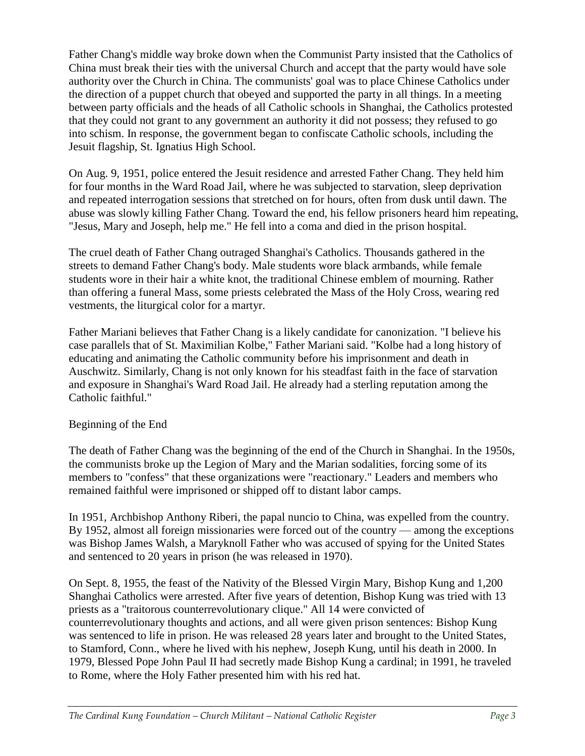Father Chang's middle way broke down when the Communist Party insisted that the Catholics of China must break their ties with the universal Church and accept that the party would have sole authority over the Church in China. The communists' goal was to place Chinese Catholics under the direction of a puppet church that obeyed and supported the party in all things. In a meeting between party officials and the heads of all Catholic schools in Shanghai, the Catholics protested that they could not grant to any government an authority it did not possess; they refused to go into schism. In response, the government began to confiscate Catholic schools, including the Jesuit flagship, St. Ignatius High School.

On Aug. 9, 1951, police entered the Jesuit residence and arrested Father Chang. They held him for four months in the Ward Road Jail, where he was subjected to starvation, sleep deprivation and repeated interrogation sessions that stretched on for hours, often from dusk until dawn. The abuse was slowly killing Father Chang. Toward the end, his fellow prisoners heard him repeating, "Jesus, Mary and Joseph, help me." He fell into a coma and died in the prison hospital.

The cruel death of Father Chang outraged Shanghai's Catholics. Thousands gathered in the streets to demand Father Chang's body. Male students wore black armbands, while female students wore in their hair a white knot, the traditional Chinese emblem of mourning. Rather than offering a funeral Mass, some priests celebrated the Mass of the Holy Cross, wearing red vestments, the liturgical color for a martyr.

Father Mariani believes that Father Chang is a likely candidate for canonization. "I believe his case parallels that of St. Maximilian Kolbe," Father Mariani said. "Kolbe had a long history of educating and animating the Catholic community before his imprisonment and death in Auschwitz. Similarly, Chang is not only known for his steadfast faith in the face of starvation and exposure in Shanghai's Ward Road Jail. He already had a sterling reputation among the Catholic faithful."

## Beginning of the End

The death of Father Chang was the beginning of the end of the Church in Shanghai. In the 1950s, the communists broke up the Legion of Mary and the Marian sodalities, forcing some of its members to "confess" that these organizations were "reactionary." Leaders and members who remained faithful were imprisoned or shipped off to distant labor camps.

In 1951, Archbishop Anthony Riberi, the papal nuncio to China, was expelled from the country. By 1952, almost all foreign missionaries were forced out of the country — among the exceptions was Bishop James Walsh, a Maryknoll Father who was accused of spying for the United States and sentenced to 20 years in prison (he was released in 1970).

On Sept. 8, 1955, the feast of the Nativity of the Blessed Virgin Mary, Bishop Kung and 1,200 Shanghai Catholics were arrested. After five years of detention, Bishop Kung was tried with 13 priests as a "traitorous counterrevolutionary clique." All 14 were convicted of counterrevolutionary thoughts and actions, and all were given prison sentences: Bishop Kung was sentenced to life in prison. He was released 28 years later and brought to the United States, to Stamford, Conn., where he lived with his nephew, Joseph Kung, until his death in 2000. In 1979, Blessed Pope John Paul II had secretly made Bishop Kung a cardinal; in 1991, he traveled to Rome, where the Holy Father presented him with his red hat.